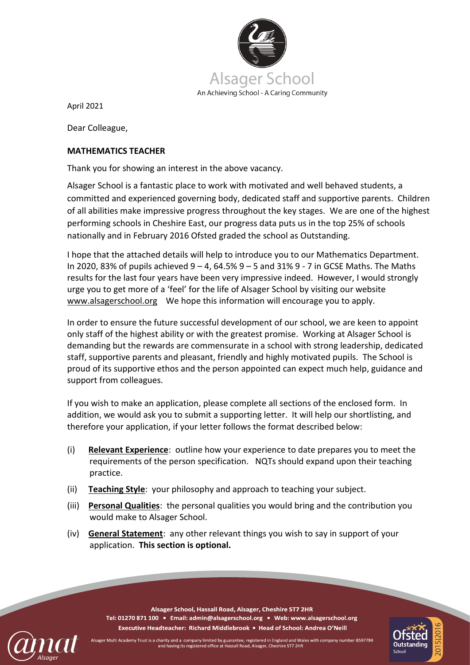

April 2021

Dear Colleague,

## **MATHEMATICS TEACHER**

Thank you for showing an interest in the above vacancy.

Alsager School is a fantastic place to work with motivated and well behaved students, a committed and experienced governing body, dedicated staff and supportive parents. Children of all abilities make impressive progress throughout the key stages. We are one of the highest performing schools in Cheshire East, our progress data puts us in the top 25% of schools nationally and in February 2016 Ofsted graded the school as Outstanding.

I hope that the attached details will help to introduce you to our Mathematics Department. In 2020, 83% of pupils achieved  $9 - 4$ , 64.5%  $9 - 5$  and 31% 9 - 7 in GCSE Maths. The Maths results for the last four years have been very impressive indeed. However, I would strongly urge you to get more of a 'feel' for the life of Alsager School by visiting our website [www.alsagerschool.org](http://www.alsagerschool.org/) We hope this information will encourage you to apply.

In order to ensure the future successful development of our school, we are keen to appoint only staff of the highest ability or with the greatest promise. Working at Alsager School is demanding but the rewards are commensurate in a school with strong leadership, dedicated staff, supportive parents and pleasant, friendly and highly motivated pupils. The School is proud of its supportive ethos and the person appointed can expect much help, guidance and support from colleagues.

If you wish to make an application, please complete all sections of the enclosed form. In addition, we would ask you to submit a supporting letter. It will help our shortlisting, and therefore your application, if your letter follows the format described below:

- (i) **Relevant Experience**: outline how your experience to date prepares you to meet the requirements of the person specification. NQTs should expand upon their teaching practice.
- (ii) **Teaching Style**: your philosophy and approach to teaching your subject.
- (iii) **Personal Qualities**: the personal qualities you would bring and the contribution you would make to Alsager School.
- (iv) **General Statement**: any other relevant things you wish to say in support of your application. **This section is optional.**



Alsager Multi Academy Trust is a charity and a company limited by guarantee, registered in England and Wales with company number 8597784 and having its registered office at Hassall Road, Alsager, Cheshire ST7 2HR

Alsager School, Hassall Road, Alsager, Cheshire ST7 2HR Tel: 01270 871 100 · Email: admin@alsagerschool.org · Web: www.alsagerschool.org Executive Headteacher: Richard Middlebrook • Head of School: Andrea O'Neill